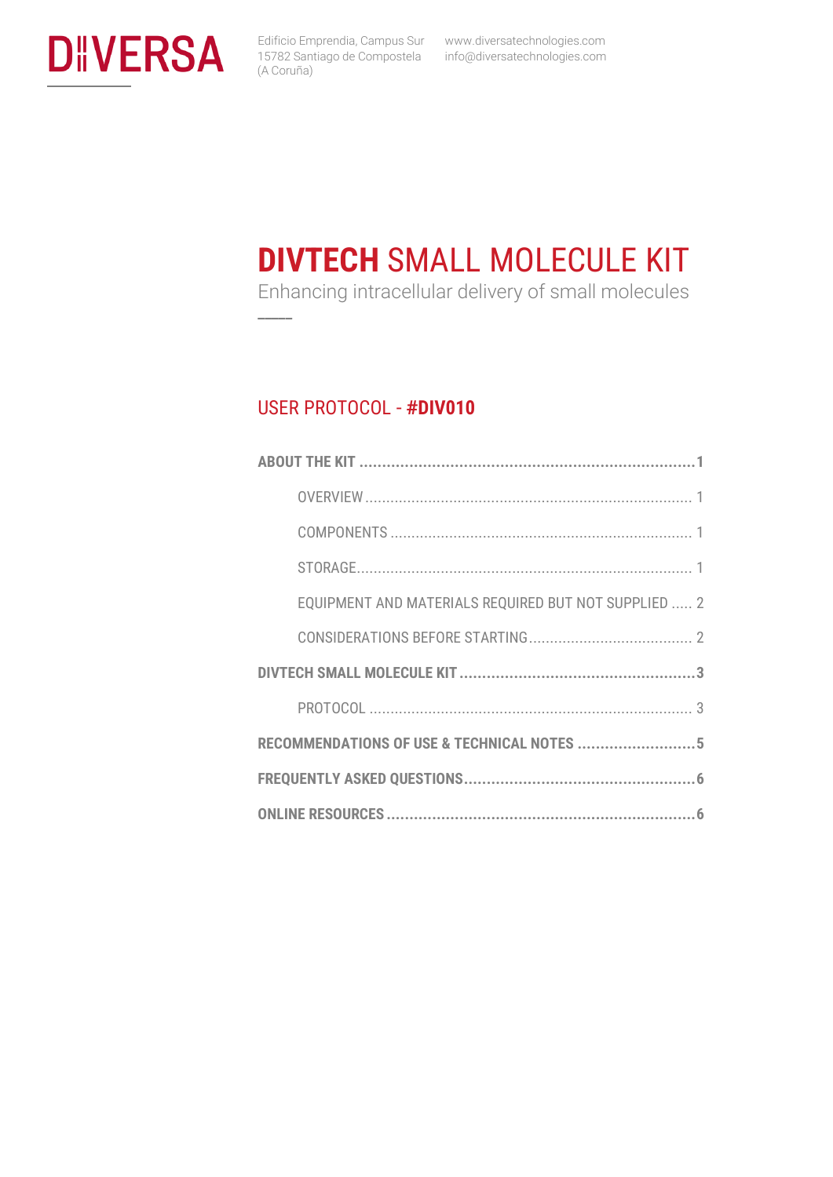

Edificio Emprendia, Campus Sur www.diversatechnologies.com info@diversatechnologies.com

# **DIVTECH** SMALL MOLECULE KIT

Enhancing intracellular delivery of small molecules

#### USER PROTOCOL - **#DIV010**

**\_\_\_\_\_**

| EQUIPMENT AND MATERIALS REQUIRED BUT NOT SUPPLIED  2 |  |  |
|------------------------------------------------------|--|--|
|                                                      |  |  |
|                                                      |  |  |
|                                                      |  |  |
| RECOMMENDATIONS OF USE & TECHNICAL NOTES 5           |  |  |
|                                                      |  |  |
|                                                      |  |  |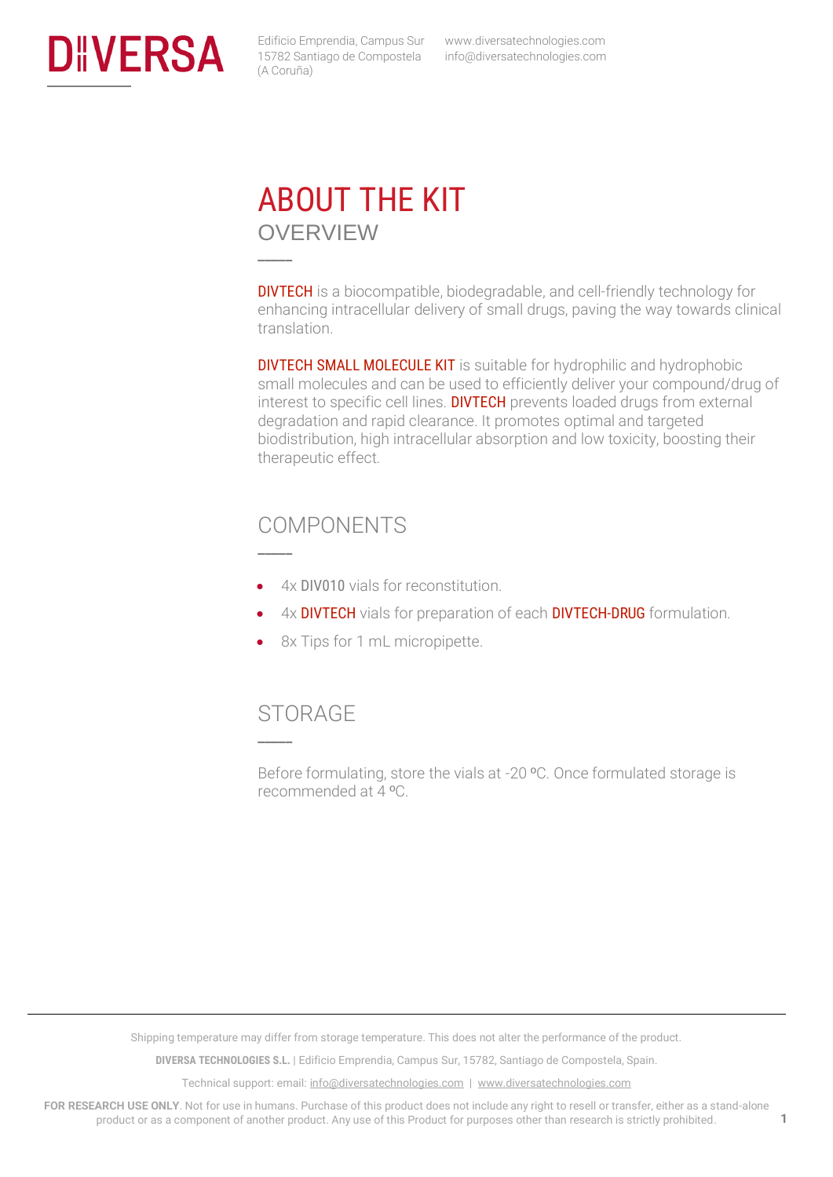<span id="page-1-1"></span><span id="page-1-0"></span>

 www.diversatechnologies.com info@diversatechnologies.com

### ABOUT THE KIT OVERVIEW

**\_\_\_\_\_**

**\_\_\_\_\_**

DIVTECH is a biocompatible, biodegradable, and cell-friendly technology for enhancing intracellular delivery of small drugs, paving the way towards clinical translation.

**DIVTECH SMALL MOLECULE KIT** is suitable for hydrophilic and hydrophobic small molecules and can be used to efficiently deliver your compound/drug of interest to specific cell lines. DIVTECH prevents loaded drugs from external degradation and rapid clearance. It promotes optimal and targeted biodistribution, high intracellular absorption and low toxicity, boosting their therapeutic effect.

#### <span id="page-1-2"></span>COMPONENTS

- 4x DIV010 vials for reconstitution.
- 4x **DIVTECH** vials for preparation of each **DIVTECH-DRUG** formulation.
- 8x Tips for 1 mL micropipette.

#### <span id="page-1-3"></span>**STORAGE**

**\_\_\_\_\_**

Before formulating, store the vials at -20 ºC. Once formulated storage is recommended at 4 ºC.

Shipping temperature may differ from storage temperature. This does not alter the performance of the product.

**DIVERSA TECHNOLOGIES S.L.** | Edificio Emprendia, Campus Sur, 15782, Santiago de Compostela, Spain.

Technical support: email[: info@diversatechnologies.com](mailto:info@diversatechnologies.com) | [www.diversatechnologies.com](http://www.diversatechnologies.com/)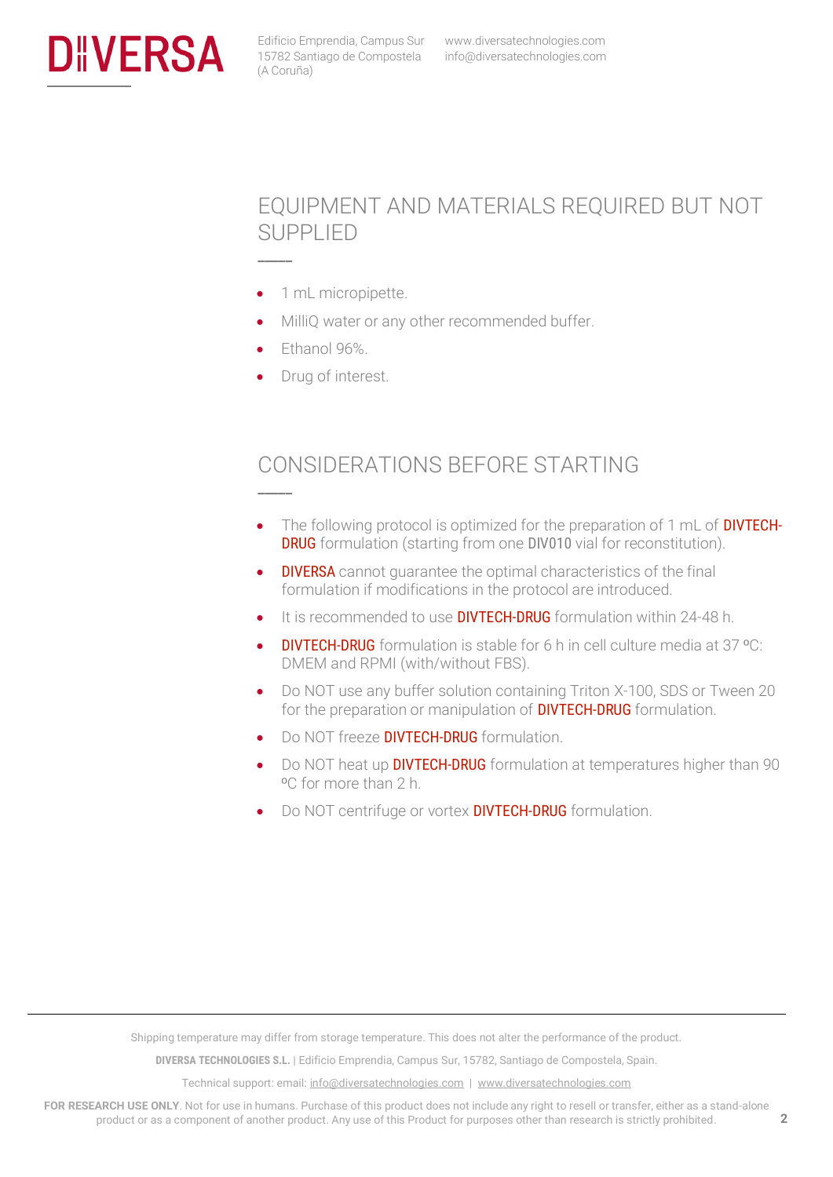<span id="page-2-0"></span>

#### EQUIPMENT AND MATERIALS REQUIRED BUT NOT SUPPLIED

- 1 mL micropipette.
- MilliQ water or any other recommended buffer.
- Ethanol 96%.

**\_\_\_\_\_**

**\_\_\_\_\_**

Drug of interest.

### <span id="page-2-1"></span>CONSIDERATIONS BEFORE STARTING

- The following protocol is optimized for the preparation of 1 mL of **DIVTECH-DRUG** formulation (starting from one DIV010 vial for reconstitution).
- **DIVERSA** cannot quarantee the optimal characteristics of the final formulation if modifications in the protocol are introduced.
- It is recommended to use **DIVTECH-DRUG** formulation within 24-48 h.
- DIVTECH-DRUG formulation is stable for 6 h in cell culture media at 37 ºC: DMEM and RPMI (with/without FBS).
- Do NOT use any buffer solution containing Triton X-100, SDS or Tween 20 for the preparation or manipulation of **DIVTECH-DRUG** formulation.
- Do NOT freeze **DIVTECH-DRUG** formulation.
- Do NOT heat up **DIVTECH-DRUG** formulation at temperatures higher than 90 ºC for more than 2 h.
- Do NOT centrifuge or vortex **DIVTECH-DRUG** formulation.

Shipping temperature may differ from storage temperature. This does not alter the performance of the product.

**DIVERSA TECHNOLOGIES S.L.** | Edificio Emprendia, Campus Sur, 15782, Santiago de Compostela, Spain.

Technical support: email[: info@diversatechnologies.com](mailto:info@diversatechnologies.com) | [www.diversatechnologies.com](http://www.diversatechnologies.com/)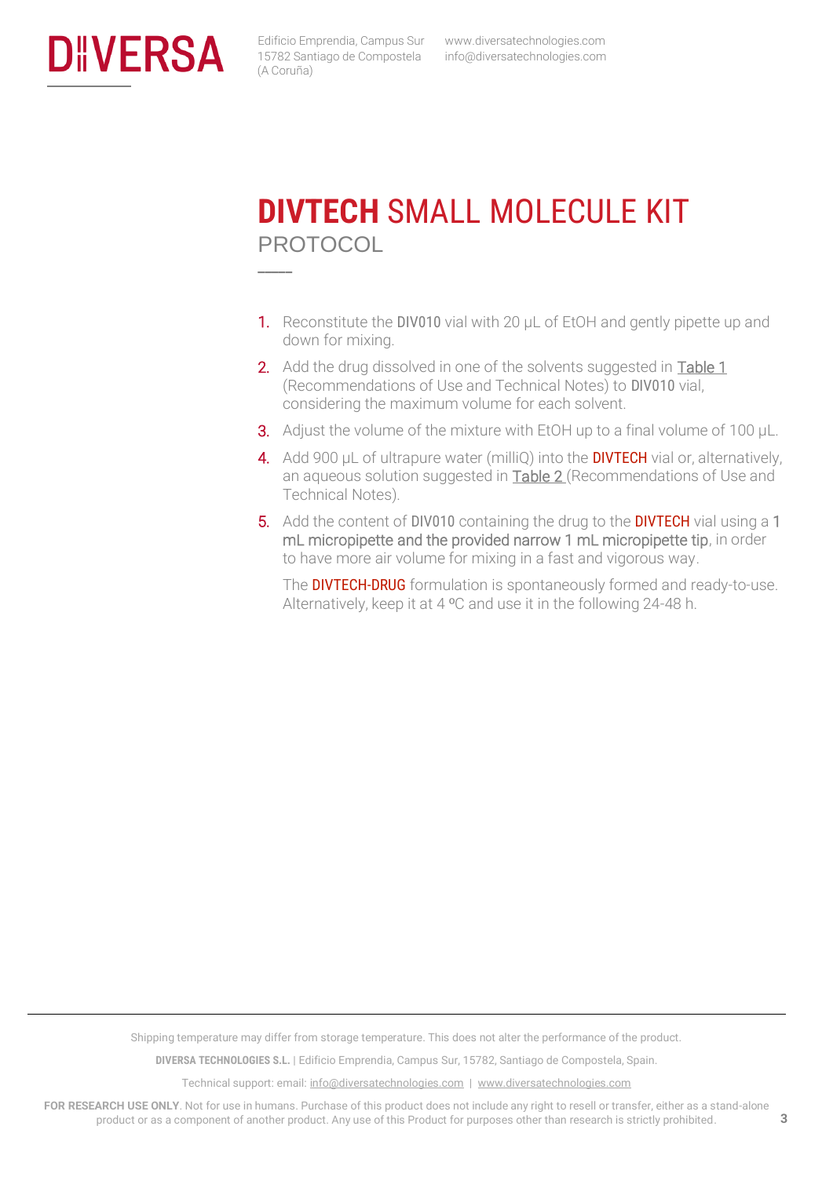<span id="page-3-1"></span><span id="page-3-0"></span>

 www.diversatechnologies.com info@diversatechnologies.com

### **DIVTECH** SMALL MOLECULE KIT PROTOCOL **\_\_\_\_\_**

- 1. Reconstitute the DIV010 vial with 20  $\mu$ L of EtOH and gently pipette up and down for mixing.
- 2. Add the drug dissolved in one of the solvents suggested in Table 1 (Recommendations of Use and Technical Notes) to DIV010 vial, considering the maximum volume for each solvent.
- **3.** Adjust the volume of the mixture with EtOH up to a final volume of 100  $\mu$ L.
- 4. Add 900 µL of ultrapure water (milliQ) into the **DIVTECH** vial or, alternatively, an aqueous solution suggested in **Table 2** (Recommendations of Use and Technical Notes).
- 5. Add the content of DIV010 containing the drug to the DIVTECH vial using a 1 mL micropipette and the provided narrow 1 mL micropipette tip, in order to have more air volume for mixing in a fast and vigorous way.

The **DIVTECH-DRUG** formulation is spontaneously formed and ready-to-use. Alternatively, keep it at 4 ºC and use it in the following 24-48 h.

Shipping temperature may differ from storage temperature. This does not alter the performance of the product.

**DIVERSA TECHNOLOGIES S.L.** | Edificio Emprendia, Campus Sur, 15782, Santiago de Compostela, Spain.

Technical support: email[: info@diversatechnologies.com](mailto:info@diversatechnologies.com) | [www.diversatechnologies.com](http://www.diversatechnologies.com/)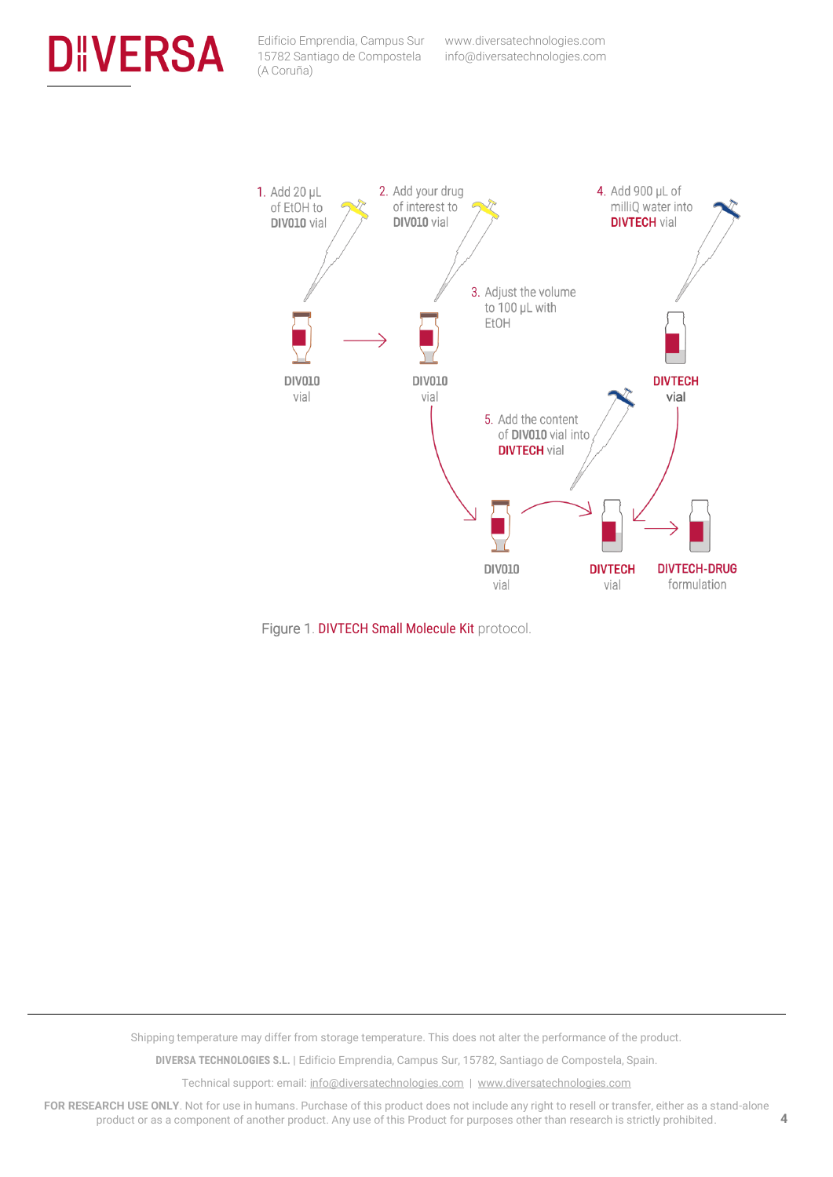





Shipping temperature may differ from storage temperature. This does not alter the performance of the product.

**DIVERSA TECHNOLOGIES S.L.** | Edificio Emprendia, Campus Sur, 15782, Santiago de Compostela, Spain.

Technical support: email[: info@diversatechnologies.com](mailto:info@diversatechnologies.com) | [www.diversatechnologies.com](http://www.diversatechnologies.com/)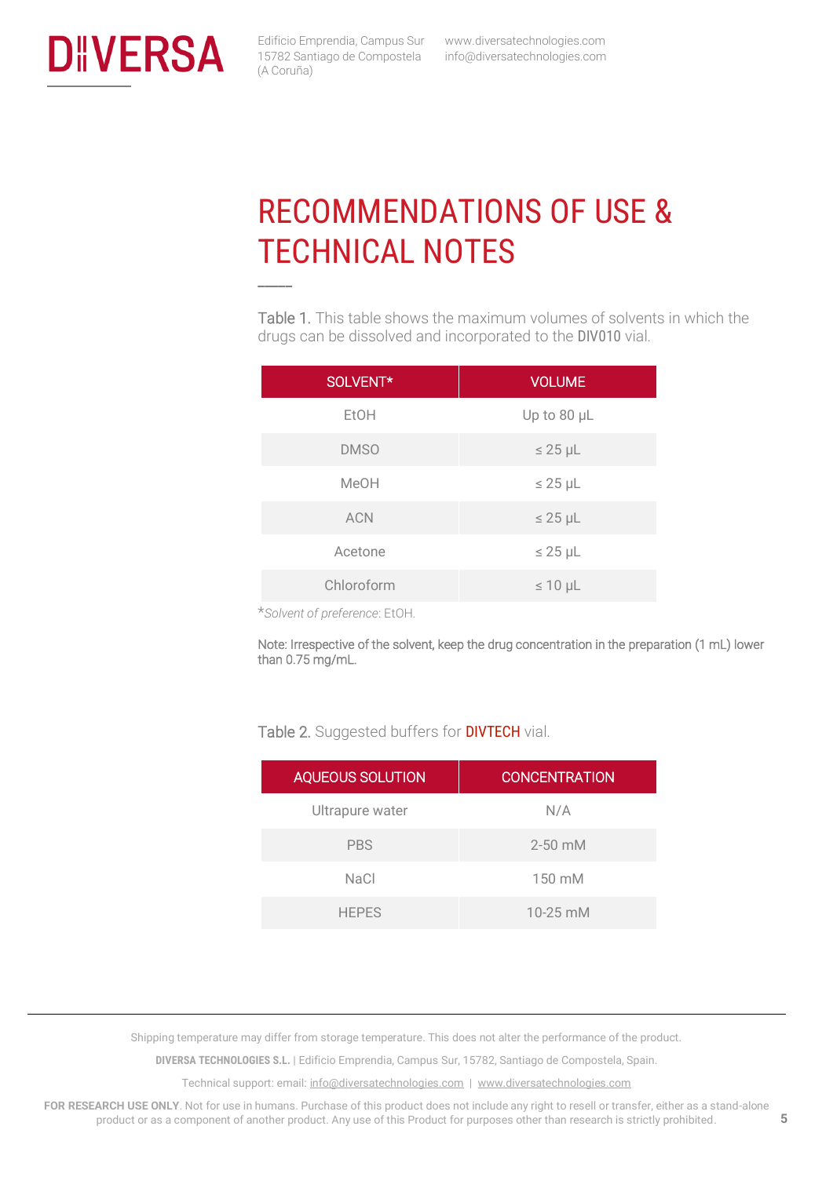<span id="page-5-1"></span><span id="page-5-0"></span>

**\_\_\_\_\_**

 www.diversatechnologies.com info@diversatechnologies.com

## RECOMMENDATIONS OF USE & TECHNICAL NOTES

Table 1. This table shows the maximum volumes of solvents in which the drugs can be dissolved and incorporated to the DIV010 vial.

| <b>VOLUME</b> |
|---------------|
| Up to 80 µL   |
| $\leq$ 25 µL  |
| $\leq 25$ µL  |
| $\leq$ 25 µL  |
| $\leq$ 25 µL  |
| $\leq 10$ µL  |
|               |

\**Solvent of preference*: EtOH.

Note: Irrespective of the solvent, keep the drug concentration in the preparation (1 mL) lower than 0.75 mg/mL.

#### Table 2. Suggested buffers for **DIVTECH** vial.

| <b>AQUEOUS SOLUTION</b> | <b>CONCENTRATION</b> |
|-------------------------|----------------------|
| Ultrapure water         | N/A                  |
| <b>PBS</b>              | $2 - 50$ mM          |
| <b>NaCl</b>             | $150 \text{ mM}$     |
| <b>HEPES</b>            | 10-25 mM             |

Shipping temperature may differ from storage temperature. This does not alter the performance of the product.

**DIVERSA TECHNOLOGIES S.L.** | Edificio Emprendia, Campus Sur, 15782, Santiago de Compostela, Spain.

Technical support: email[: info@diversatechnologies.com](mailto:info@diversatechnologies.com) | [www.diversatechnologies.com](http://www.diversatechnologies.com/)